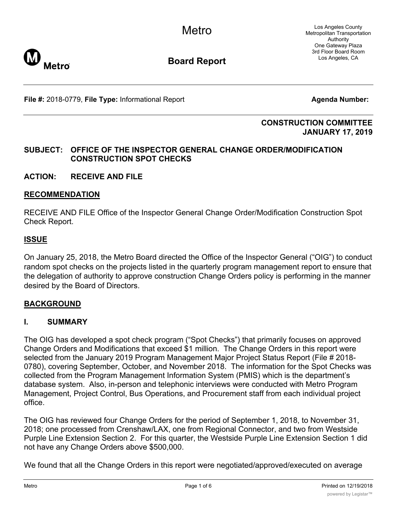

# **Board Report**

**File #:** 2018-0779, File Type: Informational Report **Agents Agenda Number:** 

#### **CONSTRUCTION COMMITTEE JANUARY 17, 2019**

### **SUBJECT: OFFICE OF THE INSPECTOR GENERAL CHANGE ORDER/MODIFICATION CONSTRUCTION SPOT CHECKS**

**ACTION: RECEIVE AND FILE**

#### **RECOMMENDATION**

RECEIVE AND FILE Office of the Inspector General Change Order/Modification Construction Spot Check Report.

#### **ISSUE**

On January 25, 2018, the Metro Board directed the Office of the Inspector General ("OIG") to conduct random spot checks on the projects listed in the quarterly program management report to ensure that the delegation of authority to approve construction Change Orders policy is performing in the manner desired by the Board of Directors.

#### **BACKGROUND**

#### **I. SUMMARY**

The OIG has developed a spot check program ("Spot Checks") that primarily focuses on approved Change Orders and Modifications that exceed \$1 million. The Change Orders in this report were selected from the January 2019 Program Management Major Project Status Report (File # 2018- 0780), covering September, October, and November 2018. The information for the Spot Checks was collected from the Program Management Information System (PMIS) which is the department's database system. Also, in-person and telephonic interviews were conducted with Metro Program Management, Project Control, Bus Operations, and Procurement staff from each individual project office.

The OIG has reviewed four Change Orders for the period of September 1, 2018, to November 31, 2018; one processed from Crenshaw/LAX, one from Regional Connector, and two from Westside Purple Line Extension Section 2. For this quarter, the Westside Purple Line Extension Section 1 did not have any Change Orders above \$500,000.

We found that all the Change Orders in this report were negotiated/approved/executed on average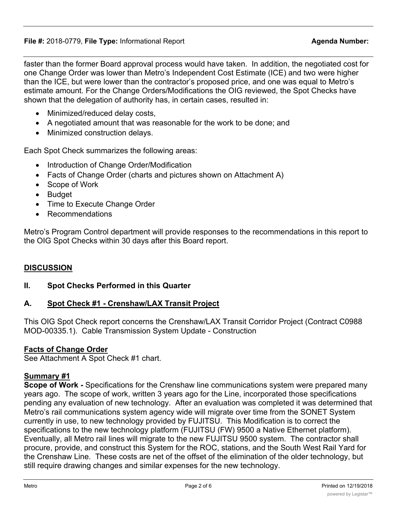faster than the former Board approval process would have taken. In addition, the negotiated cost for one Change Order was lower than Metro's Independent Cost Estimate (ICE) and two were higher than the ICE, but were lower than the contractor's proposed price, and one was equal to Metro's estimate amount. For the Change Orders/Modifications the OIG reviewed, the Spot Checks have shown that the delegation of authority has, in certain cases, resulted in:

- Minimized/reduced delay costs,
- · A negotiated amount that was reasonable for the work to be done; and
- · Minimized construction delays.

Each Spot Check summarizes the following areas:

- Introduction of Change Order/Modification
- Facts of Change Order (charts and pictures shown on Attachment A)
- · Scope of Work
- · Budget
- · Time to Execute Change Order
- · Recommendations

Metro's Program Control department will provide responses to the recommendations in this report to the OIG Spot Checks within 30 days after this Board report.

### **DISCUSSION**

### **II. Spot Checks Performed in this Quarter**

## **A. Spot Check #1 - Crenshaw/LAX Transit Project**

This OIG Spot Check report concerns the Crenshaw/LAX Transit Corridor Project (Contract C0988 MOD-00335.1). Cable Transmission System Update - Construction

### **Facts of Change Order**

See Attachment A Spot Check #1 chart.

## **Summary #1**

**Scope of Work -** Specifications for the Crenshaw line communications system were prepared many years ago. The scope of work, written 3 years ago for the Line, incorporated those specifications pending any evaluation of new technology. After an evaluation was completed it was determined that Metro's rail communications system agency wide will migrate over time from the SONET System currently in use, to new technology provided by FUJITSU. This Modification is to correct the specifications to the new technology platform (FUJITSU (FW) 9500 a Native Ethernet platform). Eventually, all Metro rail lines will migrate to the new FUJITSU 9500 system. The contractor shall procure, provide, and construct this System for the ROC, stations, and the South West Rail Yard for the Crenshaw Line. These costs are net of the offset of the elimination of the older technology, but still require drawing changes and similar expenses for the new technology.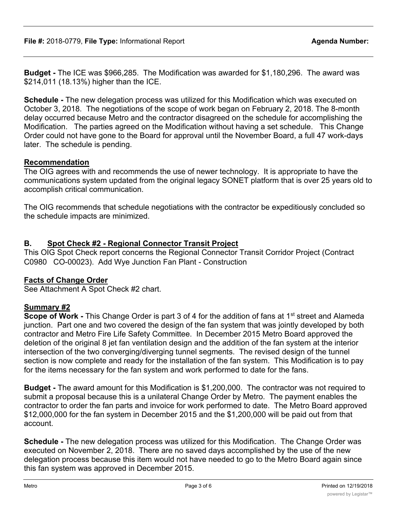**Budget -** The ICE was \$966,285. The Modification was awarded for \$1,180,296. The award was \$214,011 (18.13%) higher than the ICE.

**Schedule -** The new delegation process was utilized for this Modification which was executed on October 3, 2018. The negotiations of the scope of work began on February 2, 2018. The 8-month delay occurred because Metro and the contractor disagreed on the schedule for accomplishing the Modification. The parties agreed on the Modification without having a set schedule. This Change Order could not have gone to the Board for approval until the November Board, a full 47 work-days later. The schedule is pending.

#### **Recommendation**

The OIG agrees with and recommends the use of newer technology. It is appropriate to have the communications system updated from the original legacy SONET platform that is over 25 years old to accomplish critical communication.

The OIG recommends that schedule negotiations with the contractor be expeditiously concluded so the schedule impacts are minimized.

### **B. Spot Check #2 - Regional Connector Transit Project**

This OIG Spot Check report concerns the Regional Connector Transit Corridor Project (Contract C0980 CO-00023). Add Wye Junction Fan Plant - Construction

#### **Facts of Change Order**

See Attachment A Spot Check #2 chart.

#### **Summary #2**

**Scope of Work -** This Change Order is part 3 of 4 for the addition of fans at 1<sup>st</sup> street and Alameda junction. Part one and two covered the design of the fan system that was jointly developed by both contractor and Metro Fire Life Safety Committee. In December 2015 Metro Board approved the deletion of the original 8 jet fan ventilation design and the addition of the fan system at the interior intersection of the two converging/diverging tunnel segments. The revised design of the tunnel section is now complete and ready for the installation of the fan system. This Modification is to pay for the items necessary for the fan system and work performed to date for the fans.

**Budget -** The award amount for this Modification is \$1,200,000. The contractor was not required to submit a proposal because this is a unilateral Change Order by Metro. The payment enables the contractor to order the fan parts and invoice for work performed to date. The Metro Board approved \$12,000,000 for the fan system in December 2015 and the \$1,200,000 will be paid out from that account.

**Schedule -** The new delegation process was utilized for this Modification. The Change Order was executed on November 2, 2018. There are no saved days accomplished by the use of the new delegation process because this item would not have needed to go to the Metro Board again since this fan system was approved in December 2015.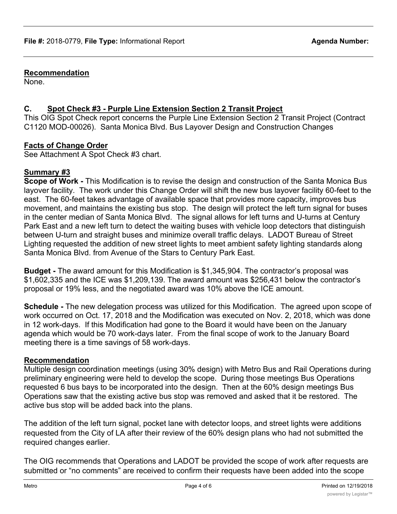#### **Recommendation**

None.

## **C. Spot Check #3 - Purple Line Extension Section 2 Transit Project**

This OIG Spot Check report concerns the Purple Line Extension Section 2 Transit Project (Contract C1120 MOD-00026). Santa Monica Blvd. Bus Layover Design and Construction Changes

### **Facts of Change Order**

See Attachment A Spot Check #3 chart.

### **Summary #3**

**Scope of Work -** This Modification is to revise the design and construction of the Santa Monica Bus layover facility. The work under this Change Order will shift the new bus layover facility 60-feet to the east. The 60-feet takes advantage of available space that provides more capacity, improves bus movement, and maintains the existing bus stop. The design will protect the left turn signal for buses in the center median of Santa Monica Blvd. The signal allows for left turns and U-turns at Century Park East and a new left turn to detect the waiting buses with vehicle loop detectors that distinguish between U-turn and straight buses and minimize overall traffic delays. LADOT Bureau of Street Lighting requested the addition of new street lights to meet ambient safety lighting standards along Santa Monica Blvd. from Avenue of the Stars to Century Park East.

**Budget -** The award amount for this Modification is \$1,345,904. The contractor's proposal was \$1,602,335 and the ICE was \$1,209,139. The award amount was \$256,431 below the contractor's proposal or 19% less, and the negotiated award was 10% above the ICE amount.

**Schedule -** The new delegation process was utilized for this Modification. The agreed upon scope of work occurred on Oct. 17, 2018 and the Modification was executed on Nov. 2, 2018, which was done in 12 work-days. If this Modification had gone to the Board it would have been on the January agenda which would be 70 work-days later. From the final scope of work to the January Board meeting there is a time savings of 58 work-days.

#### **Recommendation**

Multiple design coordination meetings (using 30% design) with Metro Bus and Rail Operations during preliminary engineering were held to develop the scope. During those meetings Bus Operations requested 6 bus bays to be incorporated into the design. Then at the 60% design meetings Bus Operations saw that the existing active bus stop was removed and asked that it be restored. The active bus stop will be added back into the plans.

The addition of the left turn signal, pocket lane with detector loops, and street lights were additions requested from the City of LA after their review of the 60% design plans who had not submitted the required changes earlier.

The OIG recommends that Operations and LADOT be provided the scope of work after requests are submitted or "no comments" are received to confirm their requests have been added into the scope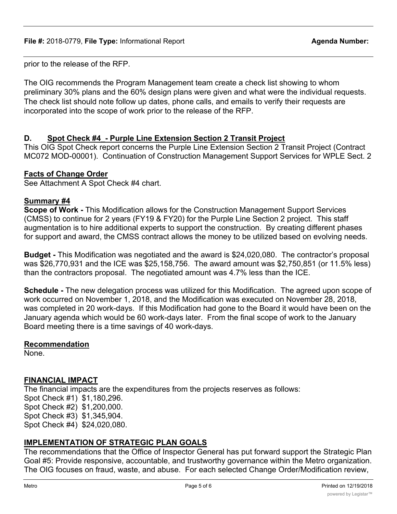prior to the release of the RFP.

The OIG recommends the Program Management team create a check list showing to whom preliminary 30% plans and the 60% design plans were given and what were the individual requests. The check list should note follow up dates, phone calls, and emails to verify their requests are incorporated into the scope of work prior to the release of the RFP.

#### **D. Spot Check #4\_- Purple Line Extension Section 2 Transit Project**

This OIG Spot Check report concerns the Purple Line Extension Section 2 Transit Project (Contract MC072 MOD-00001). Continuation of Construction Management Support Services for WPLE Sect. 2

#### **Facts of Change Order**

See Attachment A Spot Check #4 chart.

#### **Summary #4**

**Scope of Work -** This Modification allows for the Construction Management Support Services (CMSS) to continue for 2 years (FY19 & FY20) for the Purple Line Section 2 project. This staff augmentation is to hire additional experts to support the construction. By creating different phases for support and award, the CMSS contract allows the money to be utilized based on evolving needs.

**Budget -** This Modification was negotiated and the award is \$24,020,080. The contractor's proposal was \$26,770,931 and the ICE was \$25,158,756. The award amount was \$2,750,851 (or 11.5% less) than the contractors proposal. The negotiated amount was 4.7% less than the ICE.

**Schedule -** The new delegation process was utilized for this Modification. The agreed upon scope of work occurred on November 1, 2018, and the Modification was executed on November 28, 2018, was completed in 20 work-days. If this Modification had gone to the Board it would have been on the January agenda which would be 60 work-days later. From the final scope of work to the January Board meeting there is a time savings of 40 work-days.

#### **Recommendation**

None.

#### **FINANCIAL IMPACT**

The financial impacts are the expenditures from the projects reserves as follows: Spot Check #1) \$1,180,296. Spot Check #2) \$1,200,000. Spot Check #3) \$1,345,904. Spot Check #4) \$24,020,080.

#### **IMPLEMENTATION OF STRATEGIC PLAN GOALS**

The recommendations that the Office of Inspector General has put forward support the Strategic Plan Goal #5: Provide responsive, accountable, and trustworthy governance within the Metro organization. The OIG focuses on fraud, waste, and abuse. For each selected Change Order/Modification review,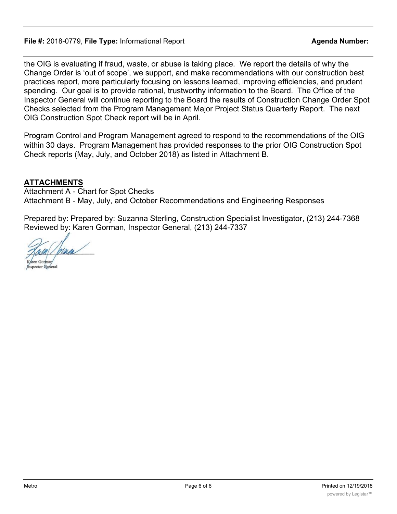#### **File #:** 2018-0779, **File Type:** Informational Report **Agenda Number:**

the OIG is evaluating if fraud, waste, or abuse is taking place. We report the details of why the Change Order is 'out of scope', we support, and make recommendations with our construction best practices report, more particularly focusing on lessons learned, improving efficiencies, and prudent spending. Our goal is to provide rational, trustworthy information to the Board. The Office of the Inspector General will continue reporting to the Board the results of Construction Change Order Spot Checks selected from the Program Management Major Project Status Quarterly Report. The next OIG Construction Spot Check report will be in April.

Program Control and Program Management agreed to respond to the recommendations of the OIG within 30 days. Program Management has provided responses to the prior OIG Construction Spot Check reports (May, July, and October 2018) as listed in Attachment B.

### **ATTACHMENTS**

Attachment A - Chart for Spot Checks Attachment B - May, July, and October Recommendations and Engineering Responses

Prepared by: Prepared by: Suzanna Sterling, Construction Specialist Investigator, (213) 244-7368 Reviewed by: Karen Gorman, Inspector General, (213) 244-7337

Aren Gorman **Inspector** General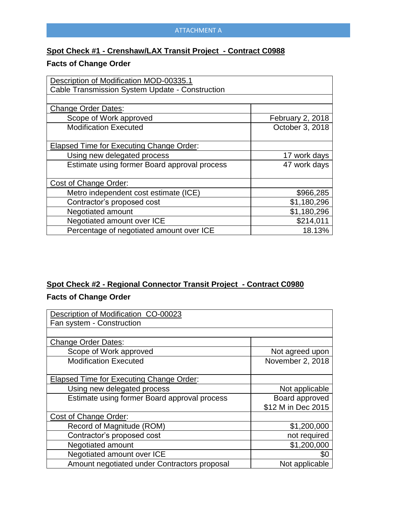# **Spot Check #1 - Crenshaw/LAX Transit Project - Contract C0988**

## **Facts of Change Order**

| Description of Modification MOD-00335.1         |                  |
|-------------------------------------------------|------------------|
| Cable Transmission System Update - Construction |                  |
|                                                 |                  |
| <b>Change Order Dates:</b>                      |                  |
| Scope of Work approved                          | February 2, 2018 |
| <b>Modification Executed</b>                    | October 3, 2018  |
|                                                 |                  |
| <b>Elapsed Time for Executing Change Order:</b> |                  |
| Using new delegated process                     | 17 work days     |
| Estimate using former Board approval process    | 47 work days     |
|                                                 |                  |
| Cost of Change Order:                           |                  |
| Metro independent cost estimate (ICE)           | \$966,285        |
| Contractor's proposed cost                      | \$1,180,296      |
| Negotiated amount                               | \$1,180,296      |
| Negotiated amount over ICE                      | \$214,011        |
| Percentage of negotiated amount over ICE        | 18.13%           |

# **Spot Check #2 - Regional Connector Transit Project - Contract C0980 Facts of Change Order**

| Description of Modification CO-00023            |                    |
|-------------------------------------------------|--------------------|
| Fan system - Construction                       |                    |
|                                                 |                    |
| <b>Change Order Dates:</b>                      |                    |
| Scope of Work approved                          | Not agreed upon    |
| <b>Modification Executed</b>                    | November 2, 2018   |
|                                                 |                    |
| <b>Elapsed Time for Executing Change Order:</b> |                    |
| Using new delegated process                     | Not applicable     |
| Estimate using former Board approval process    | Board approved     |
|                                                 | \$12 M in Dec 2015 |
| Cost of Change Order:                           |                    |
| Record of Magnitude (ROM)                       | \$1,200,000        |
| Contractor's proposed cost                      | not required       |
| <b>Negotiated amount</b>                        | \$1,200,000        |
| Negotiated amount over ICE                      | \$0                |
| Amount negotiated under Contractors proposal    | Not applicable     |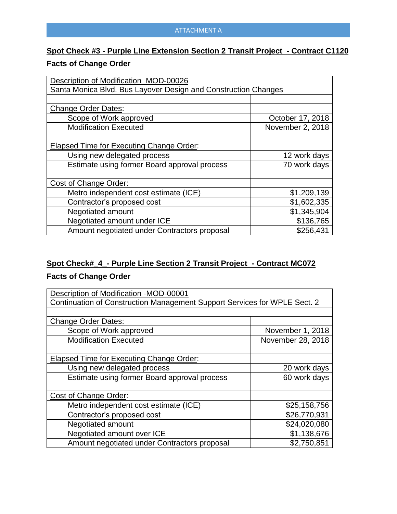# **Spot Check #3 - Purple Line Extension Section 2 Transit Project - Contract C1120**

## **Facts of Change Order**

| Description of Modification MOD-00026                          |                  |  |
|----------------------------------------------------------------|------------------|--|
| Santa Monica Blvd. Bus Layover Design and Construction Changes |                  |  |
|                                                                |                  |  |
| <b>Change Order Dates:</b>                                     |                  |  |
| Scope of Work approved                                         | October 17, 2018 |  |
| <b>Modification Executed</b>                                   | November 2, 2018 |  |
|                                                                |                  |  |
| Elapsed Time for Executing Change Order:                       |                  |  |
| Using new delegated process                                    | 12 work days     |  |
| Estimate using former Board approval process                   | 70 work days     |  |
|                                                                |                  |  |
| Cost of Change Order:                                          |                  |  |
| Metro independent cost estimate (ICE)                          | \$1,209,139      |  |
| Contractor's proposed cost                                     | \$1,602,335      |  |
| Negotiated amount                                              | \$1,345,904      |  |
| Negotiated amount under ICE                                    | \$136,765        |  |
| Amount negotiated under Contractors proposal                   | \$256,431        |  |

# **Spot Check#\_4\_- Purple Line Section 2 Transit Project - Contract MC072 Facts of Change Order**

| Description of Modification -MOD-00001                                    |                   |  |
|---------------------------------------------------------------------------|-------------------|--|
| Continuation of Construction Management Support Services for WPLE Sect. 2 |                   |  |
|                                                                           |                   |  |
| <b>Change Order Dates:</b>                                                |                   |  |
| Scope of Work approved                                                    | November 1, 2018  |  |
| <b>Modification Executed</b>                                              | November 28, 2018 |  |
|                                                                           |                   |  |
| Elapsed Time for Executing Change Order:                                  |                   |  |
| Using new delegated process                                               | 20 work days      |  |
| Estimate using former Board approval process                              | 60 work days      |  |
|                                                                           |                   |  |
| Cost of Change Order:                                                     |                   |  |
| Metro independent cost estimate (ICE)                                     | \$25,158,756      |  |
| Contractor's proposed cost                                                | \$26,770,931      |  |
| Negotiated amount                                                         | \$24,020,080      |  |
| Negotiated amount over ICE                                                | \$1,138,676       |  |
| Amount negotiated under Contractors proposal                              | \$2,750,851       |  |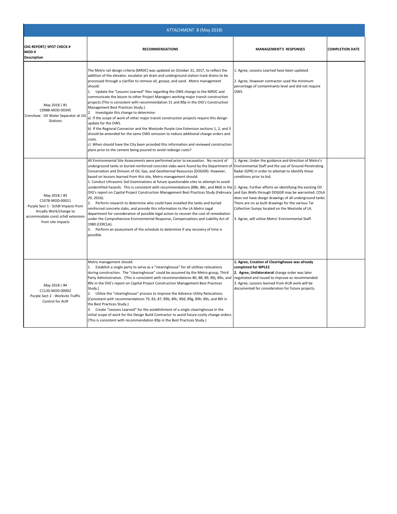| ATTACHMENT B (May 2018)                                                                                                                                    |                                                                                                                                                                                                                                                                                                                                                                                                                                                                                                                                                                                                                                                                                                                                                                                                                                                                                                                                                                                                                                                                                                                                                                                                                                |                                                                                                                                                                                                                                                                                                                                                                                                                           |                        |
|------------------------------------------------------------------------------------------------------------------------------------------------------------|--------------------------------------------------------------------------------------------------------------------------------------------------------------------------------------------------------------------------------------------------------------------------------------------------------------------------------------------------------------------------------------------------------------------------------------------------------------------------------------------------------------------------------------------------------------------------------------------------------------------------------------------------------------------------------------------------------------------------------------------------------------------------------------------------------------------------------------------------------------------------------------------------------------------------------------------------------------------------------------------------------------------------------------------------------------------------------------------------------------------------------------------------------------------------------------------------------------------------------|---------------------------------------------------------------------------------------------------------------------------------------------------------------------------------------------------------------------------------------------------------------------------------------------------------------------------------------------------------------------------------------------------------------------------|------------------------|
| OIG REPORT/ SPOT CHECK #<br>MOD#<br><b>Description</b>                                                                                                     | <b>RECOMMENDATIONS</b>                                                                                                                                                                                                                                                                                                                                                                                                                                                                                                                                                                                                                                                                                                                                                                                                                                                                                                                                                                                                                                                                                                                                                                                                         | <b>MANAGEMENT'S RESPONSES</b>                                                                                                                                                                                                                                                                                                                                                                                             | <b>COMPLETION DATE</b> |
| May 2018 / #1<br>C0988-MOD-00345<br>Crenshaw - Oil Water Separator at UG<br>Stations                                                                       | The Metro rail design criteria (MRDC) was updated on October 31, 2017, to reflect the<br>addition of the elevator, escalator pit drain and underground station track drains to be<br>processed through a clarifier to remove oil, grease, and sand. Metro management<br>should:<br>1. Update the "Lessons Learned" files regarding the OWS change to the MRDC and<br>communicate the lesson to other Project Managers working major transit construction<br>projects (This is consistent with recommendation 51 and 89p in the OIG's Construction<br>Management Best Practices Study.).<br>2.<br>Investigate this change to determine:<br>a) If the scope of work of other major transit construction projects require this design<br>update for the OWS.<br>b) If the Regional Connector and the Westside Purple Line Extension sections 1, 2, and 3<br>should be amended for the same OWS omission to reduce additional change orders and<br>costs.<br>c) When should have the City been provided this information and reviewed construction<br>plans prior to the cement being poured to avoid redesign costs?                                                                                                              | 1. Agree, Lessons Learned have been updated.<br>2. Agree, However contractor used the minimum<br>percentage of contaminants level and did not require<br>OWS.                                                                                                                                                                                                                                                             |                        |
| May 2018 / #3<br>C1078-MOD-00011<br>Purple Sect 1 - Schdl Impacts from<br>Arcadis Work/change to<br>accommodate const schdl extension<br>from site impacts | All Environmental Site Assessments were performed prior to excavation. No record of<br>underground tanks or buried reinforced concrete slabs were found by the Department of<br>Conservation and Division of Oil, Gas, and Geothermal Resources (DOGGR). However,<br>based on lessons learned from this site, Metro management should:<br>1. Conduct Ultrasonic Soil Examinations at future questionable sites to attempt to avoid<br>unidentified hazards. This is consistent with recommendations (88b, 88c, and 88d) in the 2. Agree, Further efforts on identifying the existing Oil<br>OIG's report on Capital Project Construction Management Best Practices Study (February and Gas Wells through DOGGR may be warranted. COLA<br>29, 2016).<br>Perform research to determine who could have installed the tanks and buried<br>2.<br>reinforced concrete slabs, and provide this information to the LA Metro Legal<br>department for consideration of possible legal action to recover the cost of remediation<br>under the Comprehensive Environmental Response, Compensations and Liability Act of<br>1980 (CERCLA).<br>3. Perform an assessment of the schedule to determine if any recovery of time is<br>possible. | 1. Agree, Under the guidance and direction of Metro's<br>Environmental Staff and the use of Ground Penetrating<br>Radar (GPR) in order to attempt to identify these<br>conditions prior to bid.<br>does not have design drawings of all underground tanks.<br>There are no as built drawings for the various Tar<br>Collection Sumps located on the Westside of LA.<br>3. Agree, will utilize Metro' Environmental Staff. |                        |
| May 2018 / #4<br>C1120-MOD-00002<br>Purple Sect 2 - Worksite Traffic<br>Control for AUR                                                                    | Metro management should:<br>1. Establish a single party to serve as a "clearinghouse" for all utilities relocations<br>during construction. The "clearinghouse" could be assumed by the Metro group, Third<br>Party Administration. (This is consistent with recommendations 80, 88, 89, 89i, 89n, and negotiated and issued to improve as recommended.<br>89v in the OIG's report on Capital Project Construction Management Best Practices<br>Study.)<br>2. Utilize the "clearinghouse" process to improve the Advance Utility Relocations.<br>(Consistent with recommendations 79, 83, 87, 89b, 89c, 89d, 89g, 89h, 89s, and 89t in<br>the Best Practices Study.)<br>3. Create "Lessons Learned" for the establishment of a single clearinghouse in the<br>initial scope of work for the Design Build Contractor to avoid future costly change orders.<br>(This is consistent with recommendation 89p in the Best Practices Study.)                                                                                                                                                                                                                                                                                         | 1. Agree, Creation of Clearinghouse was already<br>completed for WPLE2<br>2. Agree, Unilaterateral change order was later<br>3. Agree, Lessons learned from AUR work will be<br>documented for consideration for future projects.                                                                                                                                                                                         |                        |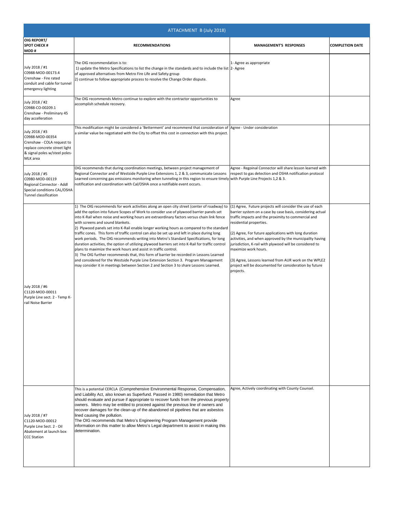| ATTACHMENT B (July 2018)                                                                                                                      |                                                                                                                                                                                                                                                                                                                                                                                                                                                                                                                                                                                                                                                                                                                                                                                                                                                                                                                                                                                                                                                                    |                                                                                                                                                                                                                                                                                                                                                                                                                                                                                                                                                  |                        |
|-----------------------------------------------------------------------------------------------------------------------------------------------|--------------------------------------------------------------------------------------------------------------------------------------------------------------------------------------------------------------------------------------------------------------------------------------------------------------------------------------------------------------------------------------------------------------------------------------------------------------------------------------------------------------------------------------------------------------------------------------------------------------------------------------------------------------------------------------------------------------------------------------------------------------------------------------------------------------------------------------------------------------------------------------------------------------------------------------------------------------------------------------------------------------------------------------------------------------------|--------------------------------------------------------------------------------------------------------------------------------------------------------------------------------------------------------------------------------------------------------------------------------------------------------------------------------------------------------------------------------------------------------------------------------------------------------------------------------------------------------------------------------------------------|------------------------|
| <b>OIG REPORT/</b><br><b>SPOT CHECK #</b><br>MOD#                                                                                             | <b>RECOMMENDATIONS</b>                                                                                                                                                                                                                                                                                                                                                                                                                                                                                                                                                                                                                                                                                                                                                                                                                                                                                                                                                                                                                                             | <b>MANAGEMENT'S RESPONSES</b>                                                                                                                                                                                                                                                                                                                                                                                                                                                                                                                    | <b>COMPLETION DATE</b> |
| July 2018 / #1<br>C0988-MOD-00173.4<br>Crenshaw - Fire rated<br>conduit and cable for tunnel<br>emergency lighting                            | The OIG recommendation is to:<br>1) update the Metro Specifications to list the change in the standards and to include the list 2- Agree<br>of approved alternatives from Metro Fire Life and Safety group<br>2) continue to follow appropriate process to resolve the Change Order dispute.                                                                                                                                                                                                                                                                                                                                                                                                                                                                                                                                                                                                                                                                                                                                                                       | 1- Agree as appropriate                                                                                                                                                                                                                                                                                                                                                                                                                                                                                                                          |                        |
| July 2018 / #2<br>C0988-CO-00209.1<br>Crenshaw - Preliminary 45<br>day accelleration                                                          | The OIG recommends Metro continue to explore with the contractor opportunities to<br>accomplish schedule recovery.                                                                                                                                                                                                                                                                                                                                                                                                                                                                                                                                                                                                                                                                                                                                                                                                                                                                                                                                                 | Agree                                                                                                                                                                                                                                                                                                                                                                                                                                                                                                                                            |                        |
| July 2018 / #3<br>C0988-MOD-00354<br>Crenshaw - COLA request to<br>replace concrete street light<br>& signal poles w/steel poles-<br>MLK area | This modification might be considered a 'Betterment' and recommend that consideration of Agree - Under consideration<br>a similar value be negotiated with the City to offset this cost in connection with this project.                                                                                                                                                                                                                                                                                                                                                                                                                                                                                                                                                                                                                                                                                                                                                                                                                                           |                                                                                                                                                                                                                                                                                                                                                                                                                                                                                                                                                  |                        |
| July 2018 / #5<br>C0980-MOD-00119<br>Regional Connector - Addl<br>Special conditions CAL/OSHA<br>Tunnel classification                        | OIG recommends that during coordination meetings, between project management of<br>Regional Connector and of Westside Purple Line Extensions 1, 2 & 3, communicate Lessons<br>Learned concerning gas emissions monitoring when tunneling in this region to ensure timely with Purple Line Projects 1,2 & 3.<br>notification and coordination with Cal/OSHA once a notifiable event occurs.                                                                                                                                                                                                                                                                                                                                                                                                                                                                                                                                                                                                                                                                         | Agree - Regoinal Connector will share lesson learned with<br>respect to gas detection and OSHA notification protocol                                                                                                                                                                                                                                                                                                                                                                                                                             |                        |
| July 2018 / #6<br>C1120-MOD-00011<br>Purple Line sect. 2 - Temp K-<br>rail Noise Barrier                                                      | 1) The OIG recommends for work activities along an open city street (center of roadway) to<br>add the option into future Scopes of Work to consider use of plywood barrier panels set<br>into K-Rail when noise and working hours are extraordinary factors versus chain link fence<br>with screens and sound blankets.<br>2) Plywood panels set into K-Rail enable longer working hours as compared to the standard<br>traffic cones. This form of traffic control can also be set up and left in place during long<br>work periods. The OIG recommends writing into Metro's Standard Specifications, for long<br>duration activities, the option of utilizing plywood barriers set into K-Rail for traffic control<br>plans to maximize the work hours and assist in traffic control.<br>3) The OIG further recommends that, this form of barrier be recorded in Lessons Learned<br>and considered for the Westside Purple Line Extension Section 3. Program Management<br>may consider it in meetings between Section 2 and Section 3 to share Lessons Learned. | (1) Agree, Future projects will consider the use of each<br>barrier system on a case by case basis, considering actual<br>traffic impacts and the proximity to commercial and<br>residential properties.<br>(2) Agree, For future applications with long duration<br>activities, and when approved by the municipailty having<br>jurisdiction, K-rail with plywood will be considered to<br>maximize work hours.<br>(3) Agree, Lessons learned from AUR work on the WPLE2<br>project will be documented for consideration by future<br>projects. |                        |
| July 2018 / #7<br>C1120-MOD-00012<br>Purple Line Sect. 2 - Oil<br>Abatement at launch box<br><b>CCC Station</b>                               | This is a potential CERCLA (Comprehensive Environmental Response, Compensation,<br>and Liability Act, also known as Superfund. Passed in 1980) remediation that Metro<br>should evaluate and pursue if appropriate to recover funds from the previous property<br>owners. Metro may be entitled to proceed against the previous line of owners and<br>recover damages for the clean-up of the abandoned oil pipelines that are asbestos<br>lined causing the pollution.<br>The OIG recommends that Metro's Engineering Program Management provide<br>information on this matter to allow Metro's Legal department to assist in making this<br>determination.                                                                                                                                                                                                                                                                                                                                                                                                       | Agree, Actively coordinating with County Counsel.                                                                                                                                                                                                                                                                                                                                                                                                                                                                                                |                        |